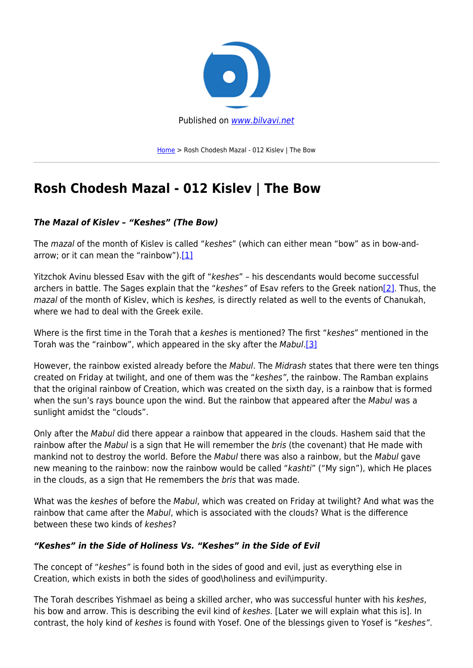

[Home](https://bilvavi.net/) > Rosh Chodesh Mazal - 012 Kislev | The Bow

# **Rosh Chodesh Mazal - 012 Kislev | The Bow**

# *The Mazal of Kislev – "Keshes" (The Bow)*

The mazal of the month of Kislev is called "keshes" (which can either mean "bow" as in bow-andarrow; or it can mean the "rainbow"). $[1]$ 

Yitzchok Avinu blessed Esav with the gift of "keshes" – his descendants would become successful archers in battle. The Sages explain that the "keshes" of Esav refers to the Greek nation<sup>[2]</sup>. Thus, the mazal of the month of Kislev, which is keshes, is directly related as well to the events of Chanukah, where we had to deal with the Greek exile.

Where is the first time in the Torah that a keshes is mentioned? The first "keshes" mentioned in the Torah was the "rainbow", which appeared in the sky after the Mabul[.\[3\]](#page--1-0)

However, the rainbow existed already before the Mabul. The Midrash states that there were ten things created on Friday at twilight, and one of them was the "keshes", the rainbow. The Ramban explains that the original rainbow of Creation, which was created on the sixth day, is a rainbow that is formed when the sun's rays bounce upon the wind. But the rainbow that appeared after the Mabul was a sunlight amidst the "clouds".

Only after the Mabul did there appear a rainbow that appeared in the clouds. Hashem said that the rainbow after the Mabul is a sign that He will remember the bris (the covenant) that He made with mankind not to destroy the world. Before the Mabul there was also a rainbow, but the Mabul gave new meaning to the rainbow: now the rainbow would be called "kashti" ("My sign"), which He places in the clouds, as a sign that He remembers the bris that was made.

What was the keshes of before the Mabul, which was created on Friday at twilight? And what was the rainbow that came after the Mabul, which is associated with the clouds? What is the difference between these two kinds of keshes?

## *"Keshes" in the Side of Holiness Vs. "Keshes" in the Side of Evil*

The concept of "keshes" is found both in the sides of good and evil, just as everything else in Creation, which exists in both the sides of good\holiness and evil\impurity.

The Torah describes Yishmael as being a skilled archer, who was successful hunter with his keshes, his bow and arrow. This is describing the evil kind of keshes. [Later we will explain what this is]. In contrast, the holy kind of keshes is found with Yosef. One of the blessings given to Yosef is "keshes".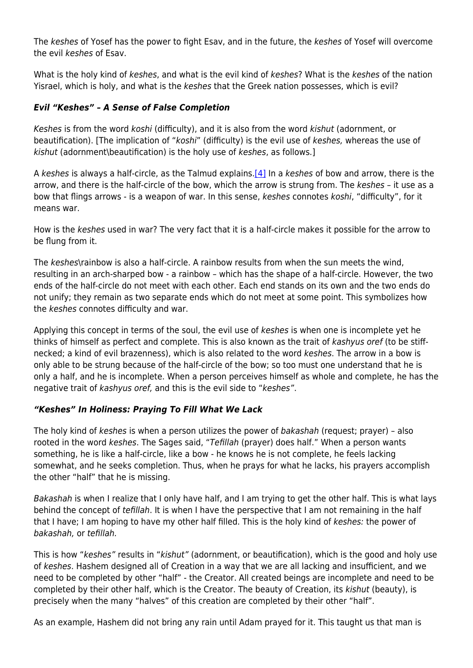The keshes of Yosef has the power to fight Esav, and in the future, the keshes of Yosef will overcome the evil keshes of Esav.

What is the holy kind of keshes, and what is the evil kind of keshes? What is the keshes of the nation Yisrael, which is holy, and what is the keshes that the Greek nation possesses, which is evil?

#### *Evil "Keshes" – A Sense of False Completion*

Keshes is from the word koshi (difficulty), and it is also from the word kishut (adornment, or beautification). [The implication of "koshi" (difficulty) is the evil use of keshes, whereas the use of kishut (adornment\beautification) is the holy use of keshes, as follows.]

A keshes is always a half-circle, as the Talmud explains.[\[4\]](#page--1-0) In a keshes of bow and arrow, there is the arrow, and there is the half-circle of the bow, which the arrow is strung from. The keshes – it use as a bow that flings arrows - is a weapon of war. In this sense, keshes connotes koshi, "difficulty", for it means war.

How is the keshes used in war? The very fact that it is a half-circle makes it possible for the arrow to be flung from it.

The keshes\rainbow is also a half-circle. A rainbow results from when the sun meets the wind. resulting in an arch-sharped bow - a rainbow – which has the shape of a half-circle. However, the two ends of the half-circle do not meet with each other. Each end stands on its own and the two ends do not unify; they remain as two separate ends which do not meet at some point. This symbolizes how the keshes connotes difficulty and war.

Applying this concept in terms of the soul, the evil use of keshes is when one is incomplete yet he thinks of himself as perfect and complete. This is also known as the trait of kashyus oref (to be stiffnecked; a kind of evil brazenness), which is also related to the word keshes. The arrow in a bow is only able to be strung because of the half-circle of the bow; so too must one understand that he is only a half, and he is incomplete. When a person perceives himself as whole and complete, he has the negative trait of kashyus oref, and this is the evil side to "keshes".

## *"Keshes" In Holiness: Praying To Fill What We Lack*

The holy kind of keshes is when a person utilizes the power of bakashah (request; prayer) – also rooted in the word keshes. The Sages said, "Tefillah (prayer) does half." When a person wants something, he is like a half-circle, like a bow - he knows he is not complete, he feels lacking somewhat, and he seeks completion. Thus, when he prays for what he lacks, his prayers accomplish the other "half" that he is missing.

Bakashah is when I realize that I only have half, and I am trying to get the other half. This is what lays behind the concept of tefillah. It is when I have the perspective that I am not remaining in the half that I have; I am hoping to have my other half filled. This is the holy kind of keshes: the power of bakashah, or tefillah.

This is how "keshes" results in "kishut" (adornment, or beautification), which is the good and holy use of keshes. Hashem designed all of Creation in a way that we are all lacking and insufficient, and we need to be completed by other "half" - the Creator. All created beings are incomplete and need to be completed by their other half, which is the Creator. The beauty of Creation, its kishut (beauty), is precisely when the many "halves" of this creation are completed by their other "half".

As an example, Hashem did not bring any rain until Adam prayed for it. This taught us that man is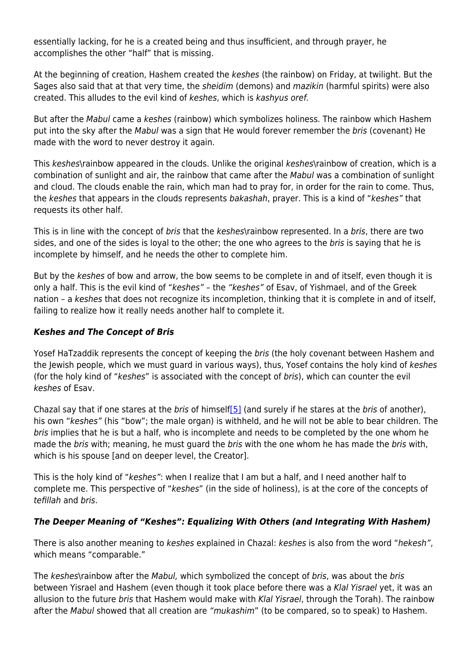essentially lacking, for he is a created being and thus insufficient, and through prayer, he accomplishes the other "half" that is missing.

At the beginning of creation, Hashem created the keshes (the rainbow) on Friday, at twilight. But the Sages also said that at that very time, the sheidim (demons) and *mazikin* (harmful spirits) were also created. This alludes to the evil kind of keshes, which is kashyus oref.

But after the Mabul came a keshes (rainbow) which symbolizes holiness. The rainbow which Hashem put into the sky after the Mabul was a sign that He would forever remember the bris (covenant) He made with the word to never destroy it again.

This keshes\rainbow appeared in the clouds. Unlike the original keshes\rainbow of creation, which is a combination of sunlight and air, the rainbow that came after the Mabul was a combination of sunlight and cloud. The clouds enable the rain, which man had to pray for, in order for the rain to come. Thus, the keshes that appears in the clouds represents bakashah, prayer. This is a kind of "keshes" that requests its other half.

This is in line with the concept of *bris* that the *keshes*\rainbow represented. In a *bris*, there are two sides, and one of the sides is loyal to the other; the one who agrees to the bris is saying that he is incomplete by himself, and he needs the other to complete him.

But by the keshes of bow and arrow, the bow seems to be complete in and of itself, even though it is only a half. This is the evil kind of "keshes" – the "keshes" of Esav, of Yishmael, and of the Greek nation – a keshes that does not recognize its incompletion, thinking that it is complete in and of itself, failing to realize how it really needs another half to complete it.

#### *Keshes and The Concept of Bris*

Yosef HaTzaddik represents the concept of keeping the *bris* (the holy covenant between Hashem and the Jewish people, which we must guard in various ways), thus, Yosef contains the holy kind of keshes (for the holy kind of "keshes" is associated with the concept of bris), which can counter the evil keshes of Esav.

Chazal say that if one stares at the *bris* of himself[\[5\]](#page--1-0) (and surely if he stares at the *bris* of another), his own "keshes" (his "bow"; the male organ) is withheld, and he will not be able to bear children. The bris implies that he is but a half, who is incomplete and needs to be completed by the one whom he made the bris with; meaning, he must guard the bris with the one whom he has made the bris with, which is his spouse [and on deeper level, the Creator].

This is the holy kind of "keshes": when I realize that I am but a half, and I need another half to complete me. This perspective of "keshes" (in the side of holiness), is at the core of the concepts of tefillah and bris.

## *The Deeper Meaning of "Keshes": Equalizing With Others (and Integrating With Hashem)*

There is also another meaning to keshes explained in Chazal: keshes is also from the word "hekesh", which means "comparable."

The keshes\rainbow after the Mabul, which symbolized the concept of bris, was about the bris between Yisrael and Hashem (even though it took place before there was a Klal Yisrael yet, it was an allusion to the future bris that Hashem would make with Klal Yisrael, through the Torah). The rainbow after the Mabul showed that all creation are "mukashim" (to be compared, so to speak) to Hashem.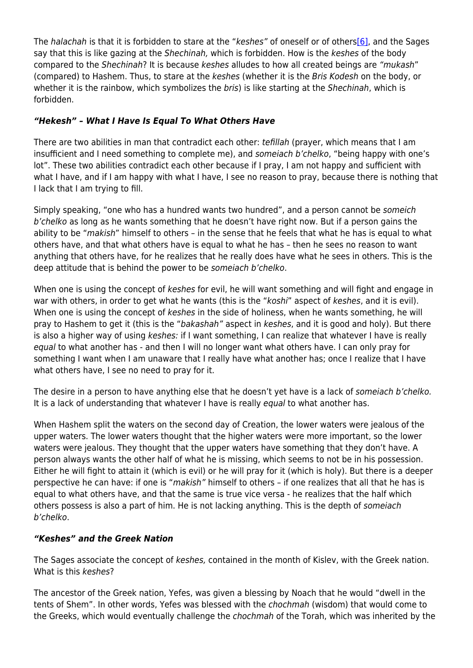The halachah is that it is forbidden to stare at the "keshes" of oneself or of other[s\[6\]](#page--1-0), and the Sages say that this is like gazing at the Shechinah, which is forbidden. How is the keshes of the body compared to the Shechinah? It is because keshes alludes to how all created beings are "mukash" (compared) to Hashem. Thus, to stare at the keshes (whether it is the Bris Kodesh on the body, or whether it is the rainbow, which symbolizes the bris) is like starting at the Shechinah, which is forbidden.

# *"Hekesh" – What I Have Is Equal To What Others Have*

There are two abilities in man that contradict each other: tefillah (prayer, which means that I am insufficient and I need something to complete me), and someiach b'chelko, "being happy with one's lot". These two abilities contradict each other because if I pray, I am not happy and sufficient with what I have, and if I am happy with what I have, I see no reason to pray, because there is nothing that I lack that I am trying to fill.

Simply speaking, "one who has a hundred wants two hundred", and a person cannot be someich b'chelko as long as he wants something that he doesn't have right now. But if a person gains the ability to be "*makish*" himself to others – in the sense that he feels that what he has is equal to what others have, and that what others have is equal to what he has – then he sees no reason to want anything that others have, for he realizes that he really does have what he sees in others. This is the deep attitude that is behind the power to be someiach b'chelko.

When one is using the concept of keshes for evil, he will want something and will fight and engage in war with others, in order to get what he wants (this is the "koshi" aspect of keshes, and it is evil). When one is using the concept of keshes in the side of holiness, when he wants something, he will pray to Hashem to get it (this is the "bakashah" aspect in keshes, and it is good and holy). But there is also a higher way of using keshes: if I want something, I can realize that whatever I have is really equal to what another has - and then I will no longer want what others have. I can only pray for something I want when I am unaware that I really have what another has; once I realize that I have what others have, I see no need to pray for it.

The desire in a person to have anything else that he doesn't yet have is a lack of someiach b'chelko. It is a lack of understanding that whatever I have is really equal to what another has.

When Hashem split the waters on the second day of Creation, the lower waters were jealous of the upper waters. The lower waters thought that the higher waters were more important, so the lower waters were jealous. They thought that the upper waters have something that they don't have. A person always wants the other half of what he is missing, which seems to not be in his possession. Either he will fight to attain it (which is evil) or he will pray for it (which is holy). But there is a deeper perspective he can have: if one is "makish" himself to others – if one realizes that all that he has is equal to what others have, and that the same is true vice versa - he realizes that the half which others possess is also a part of him. He is not lacking anything. This is the depth of someiach b'chelko.

## *"Keshes" and the Greek Nation*

The Sages associate the concept of keshes, contained in the month of Kislev, with the Greek nation. What is this keshes?

The ancestor of the Greek nation, Yefes, was given a blessing by Noach that he would "dwell in the tents of Shem". In other words, Yefes was blessed with the chochmah (wisdom) that would come to the Greeks, which would eventually challenge the chochmah of the Torah, which was inherited by the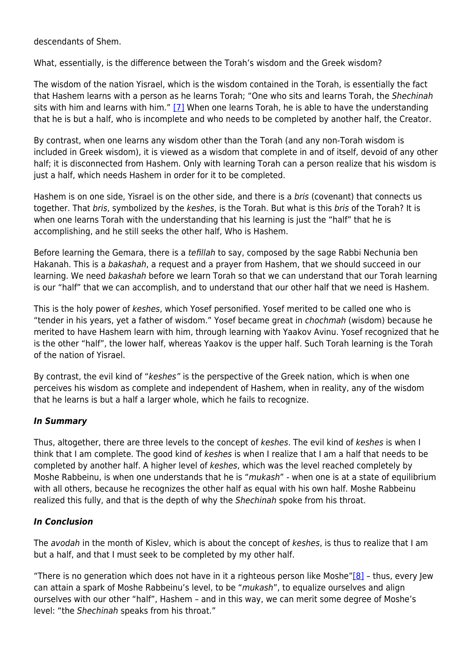descendants of Shem.

What, essentially, is the difference between the Torah's wisdom and the Greek wisdom?

The wisdom of the nation Yisrael, which is the wisdom contained in the Torah, is essentially the fact that Hashem learns with a person as he learns Torah; "One who sits and learns Torah, the Shechinah sits with him and learns with him."  $[7]$  When one learns Torah, he is able to have the understanding that he is but a half, who is incomplete and who needs to be completed by another half, the Creator.

By contrast, when one learns any wisdom other than the Torah (and any non-Torah wisdom is included in Greek wisdom), it is viewed as a wisdom that complete in and of itself, devoid of any other half; it is disconnected from Hashem. Only with learning Torah can a person realize that his wisdom is just a half, which needs Hashem in order for it to be completed.

Hashem is on one side, Yisrael is on the other side, and there is a bris (covenant) that connects us together. That bris, symbolized by the keshes, is the Torah. But what is this bris of the Torah? It is when one learns Torah with the understanding that his learning is just the "half" that he is accomplishing, and he still seeks the other half, Who is Hashem.

Before learning the Gemara, there is a *tefillah* to say, composed by the sage Rabbi Nechunia ben Hakanah. This is a bakashah, a request and a prayer from Hashem, that we should succeed in our learning. We need bakashah before we learn Torah so that we can understand that our Torah learning is our "half" that we can accomplish, and to understand that our other half that we need is Hashem.

This is the holy power of keshes, which Yosef personified. Yosef merited to be called one who is "tender in his years, yet a father of wisdom." Yosef became great in chochmah (wisdom) because he merited to have Hashem learn with him, through learning with Yaakov Avinu. Yosef recognized that he is the other "half", the lower half, whereas Yaakov is the upper half. Such Torah learning is the Torah of the nation of Yisrael.

By contrast, the evil kind of "keshes" is the perspective of the Greek nation, which is when one perceives his wisdom as complete and independent of Hashem, when in reality, any of the wisdom that he learns is but a half a larger whole, which he fails to recognize.

## *In Summary*

Thus, altogether, there are three levels to the concept of keshes. The evil kind of keshes is when I think that I am complete. The good kind of keshes is when I realize that I am a half that needs to be completed by another half. A higher level of keshes, which was the level reached completely by Moshe Rabbeinu, is when one understands that he is "mukash" - when one is at a state of equilibrium with all others, because he recognizes the other half as equal with his own half. Moshe Rabbeinu realized this fully, and that is the depth of why the Shechinah spoke from his throat.

## *In Conclusion*

The *avodah* in the month of Kislev, which is about the concept of keshes, is thus to realize that I am but a half, and that I must seek to be completed by my other half.

"There is no generation which does not have in it a righteous person like Moshe["\[8\]](#page--1-0) - thus, every Jew can attain a spark of Moshe Rabbeinu's level, to be "mukash", to equalize ourselves and align ourselves with our other "half", Hashem – and in this way, we can merit some degree of Moshe's level: "the Shechinah speaks from his throat."